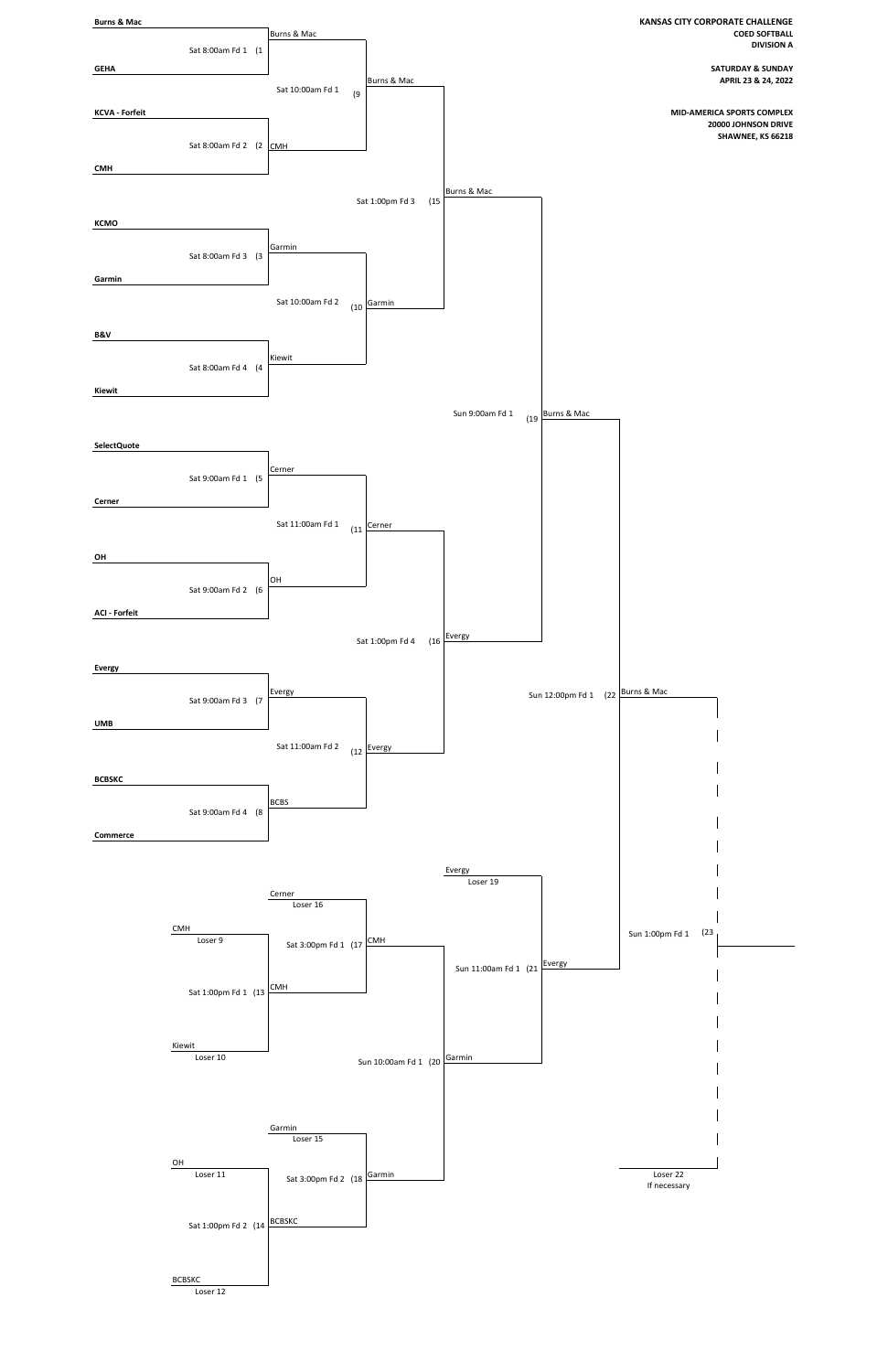

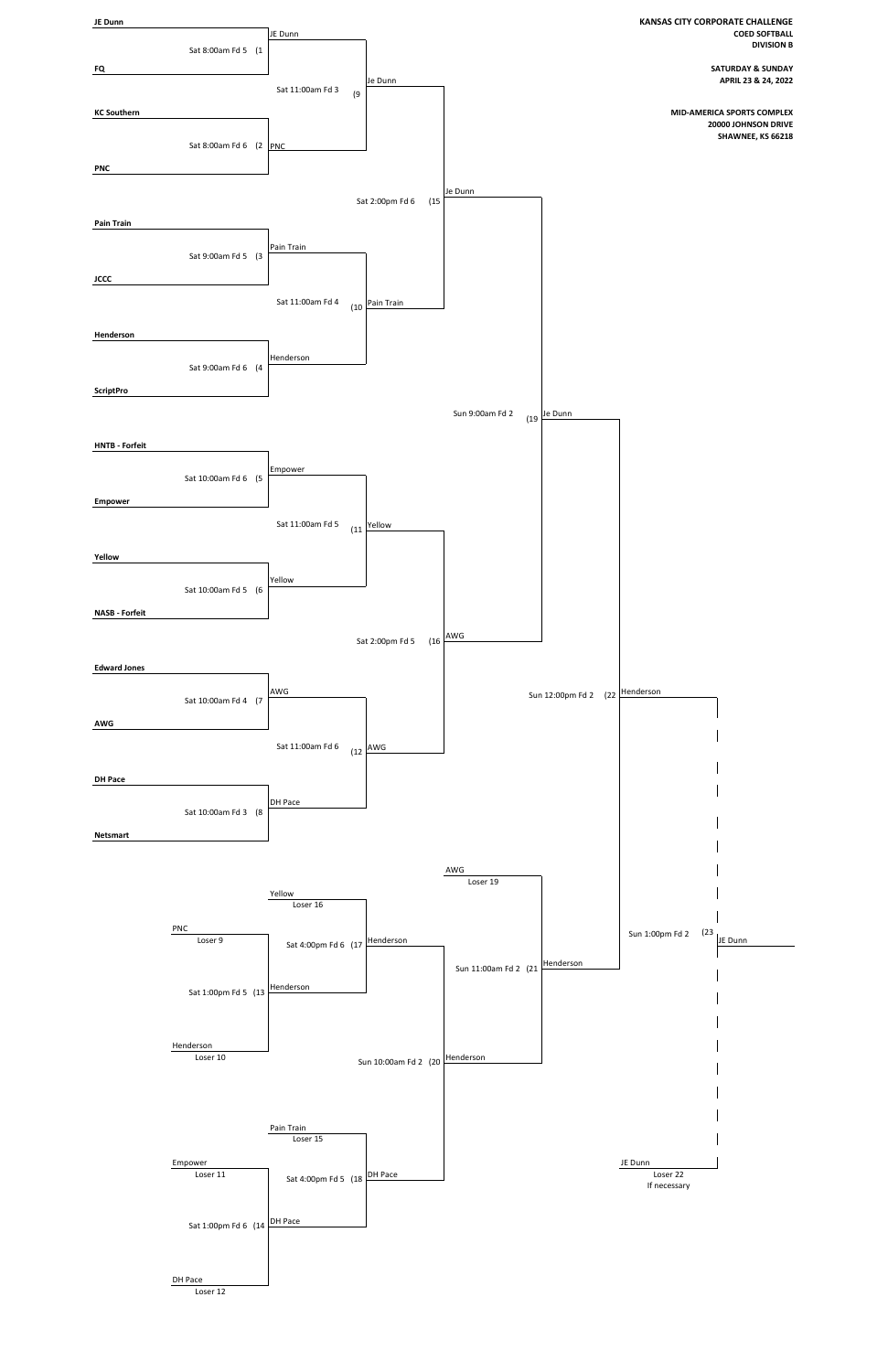

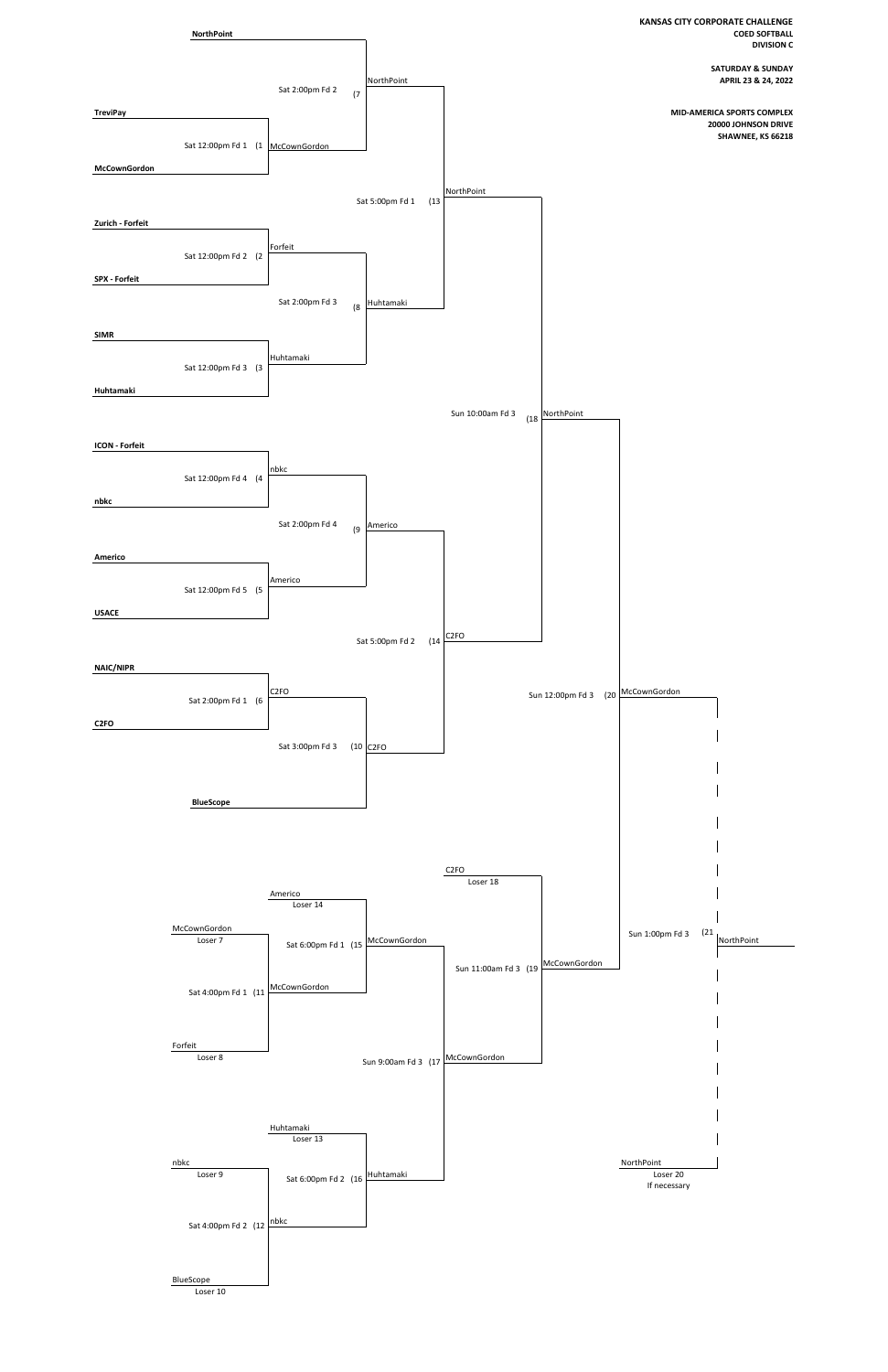

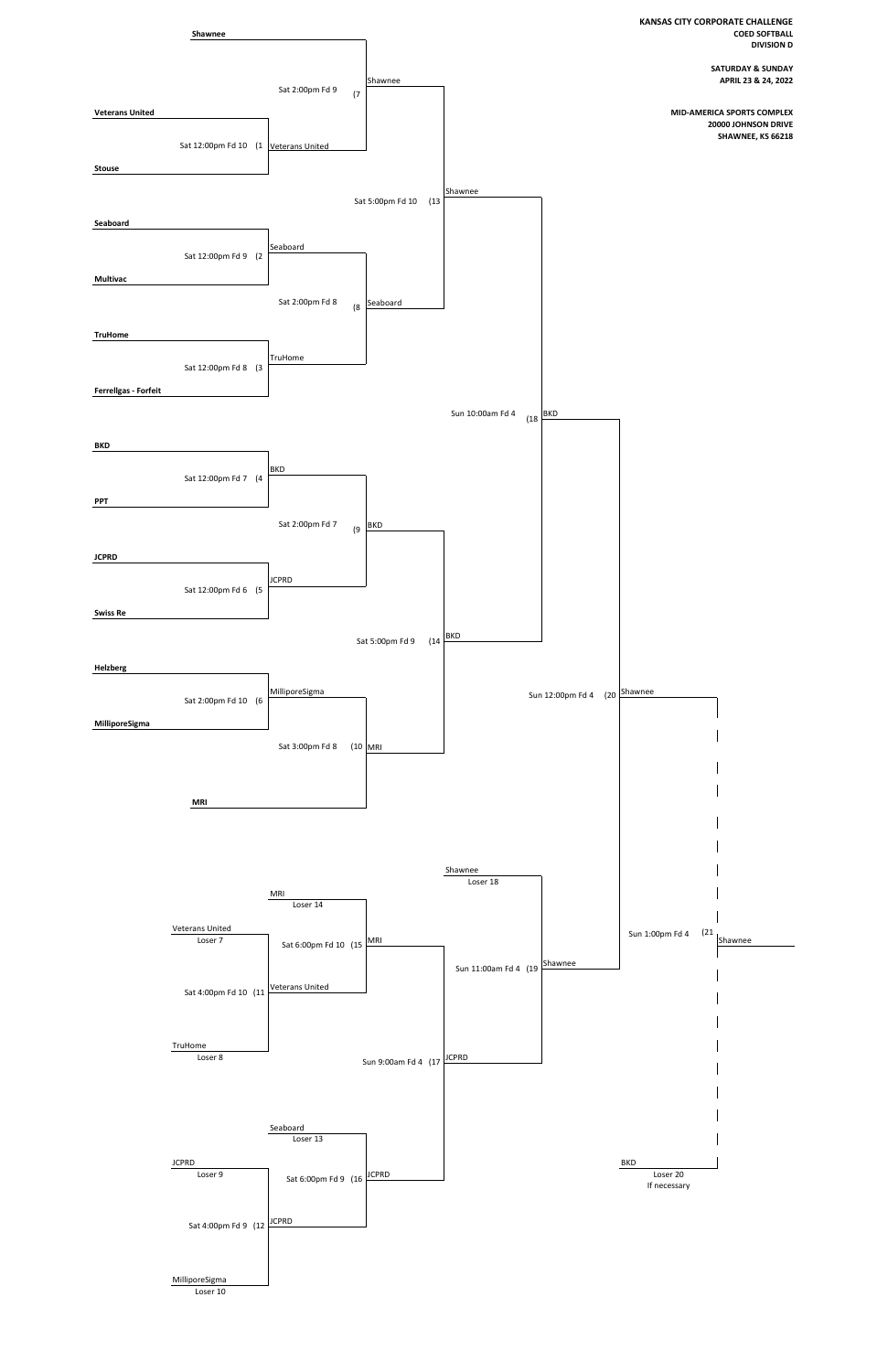

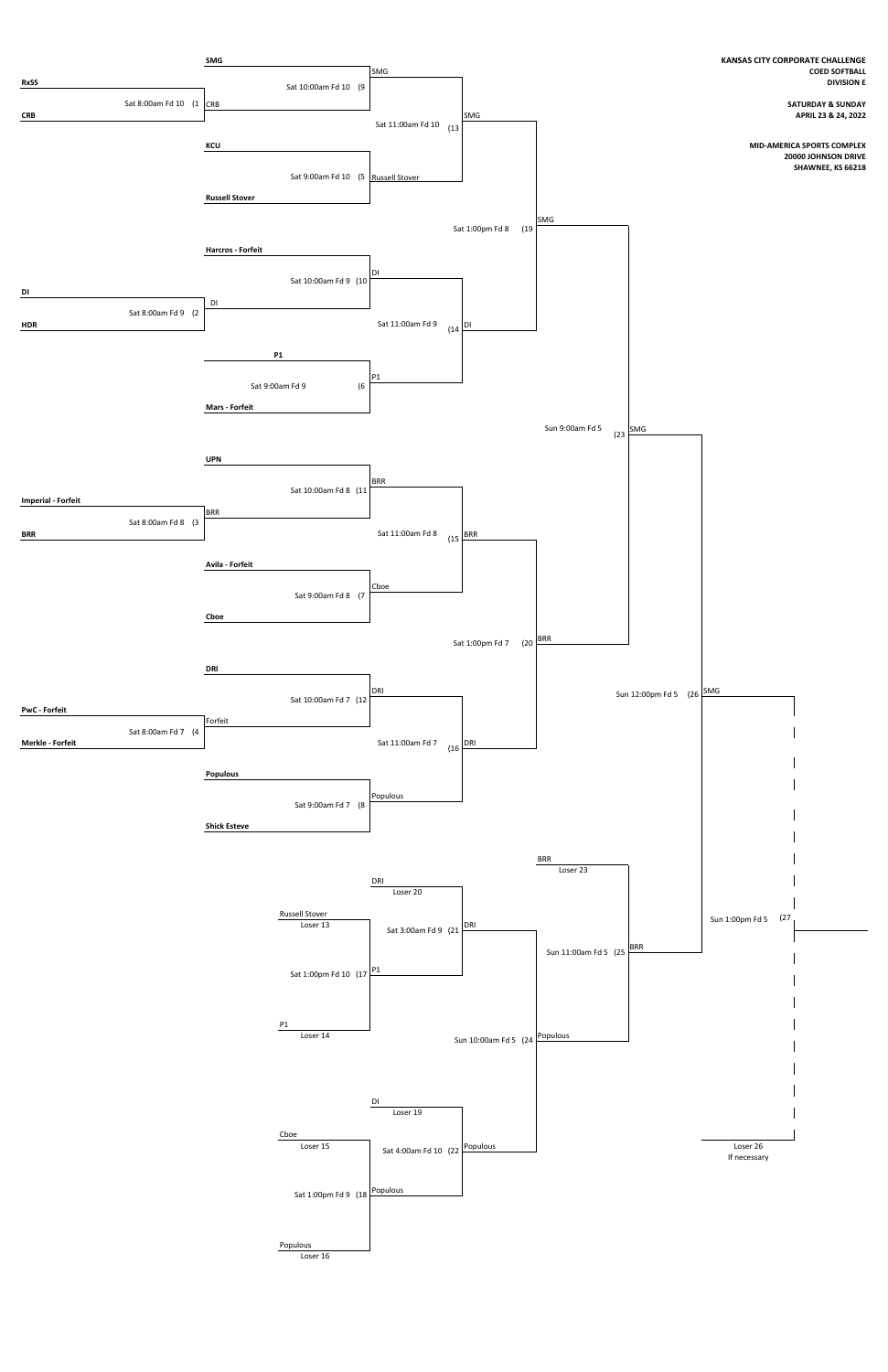

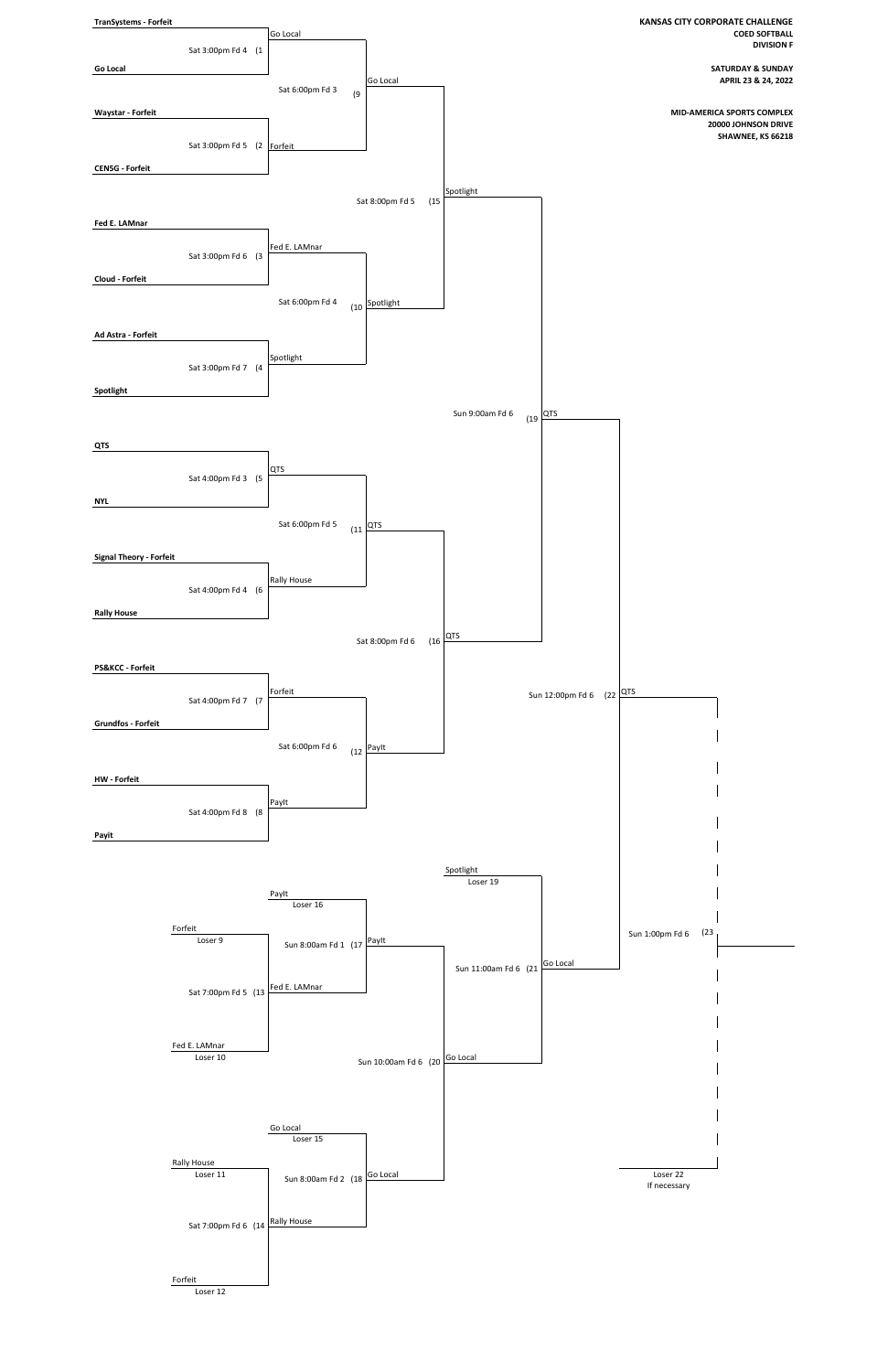